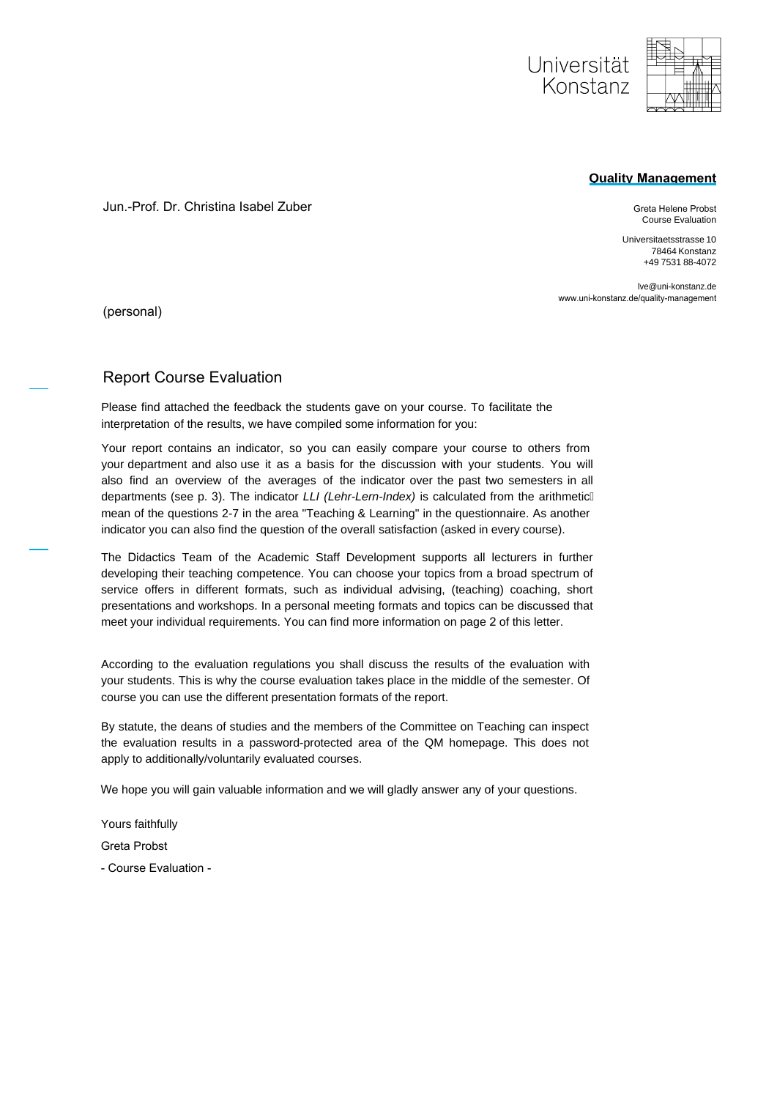

#### **Quality Management**

Jun.-Prof. Dr. Christina Isabel Zuber

Greta Helene Probst Course Evaluation

Universitaetsstrasse 10 78464 Konstanz +49 7531 88-4072

lve@uni-konstanz.de www.uni-konstanz.de/quality-management

(personal)

### Report Course Evaluation

Please find attached the feedback the students gave on your course. To facilitate the interpretation of the results, we have compiled some information for you:

Your report contains an indicator, so you can easily compare your course to others from your department and also use it as a basis for the discussion with your students. You will also find an overview of the averages of the indicator over the past two semesters in all departments (see p. 3). The indicator *LLI (Lehr-Lern-Index)* is calculated from the arithmetic mean of the questions 2-7 in the area "Teaching & Learning" in the questionnaire. As another indicator you can also find the question of the overall satisfaction (asked in every course).

The Didactics Team of the Academic Staff Development supports all lecturers in further developing their teaching competence. You can choose your topics from a broad spectrum of service offers in different formats, such as individual advising, (teaching) coaching, short presentations and workshops. In a personal meeting formats and topics can be discussed that meet your individual requirements. You can find more information on page 2 of this letter.

According to the evaluation regulations you shall discuss the results of the evaluation with your students. This is why the course evaluation takes place in the middle of the semester. Of course you can use the different presentation formats of the report.

By statute, the deans of studies and the members of the Committee on Teaching can inspect the evaluation results in a password-protected area of the QM homepage. This does not apply to additionally/voluntarily evaluated courses.

We hope you will gain valuable information and we will gladly answer any of your questions.

Yours faithfully Greta Probst

- Course Evaluation -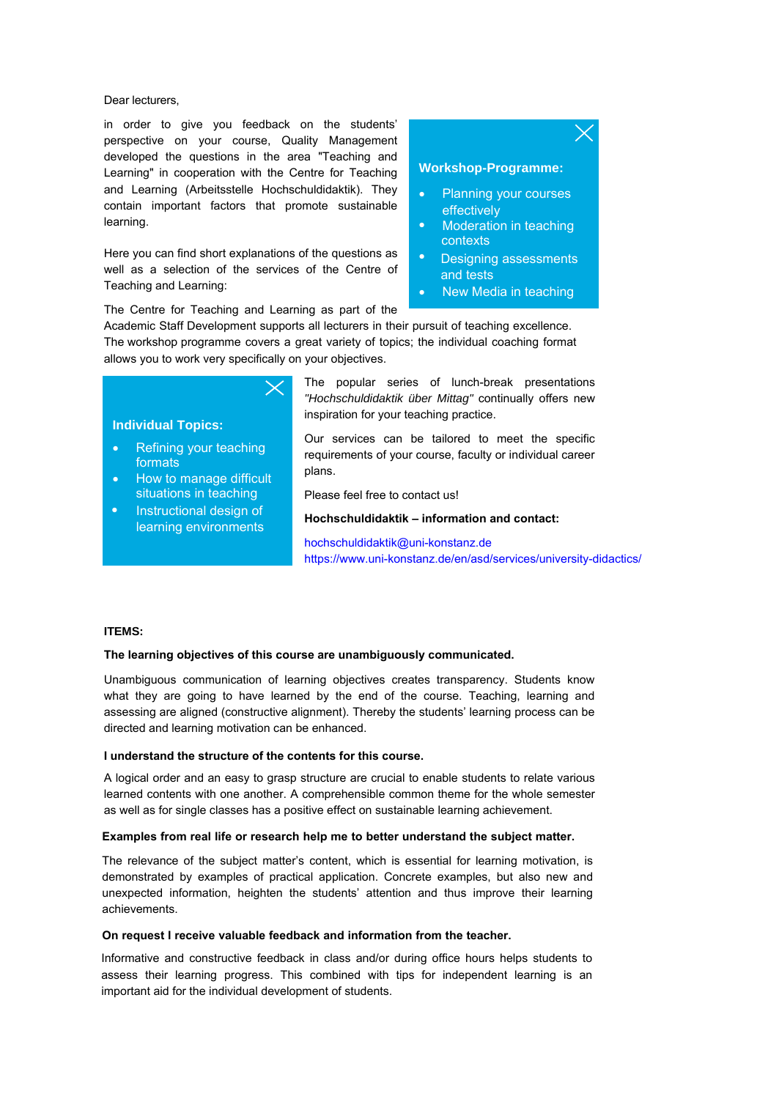Dear lecturers,

in order to give you feedback on the students' perspective on your course, Quality Management developed the questions in the area "Teaching and Learning" in cooperation with the Centre for Teaching and Learning (Arbeitsstelle Hochschuldidaktik). They contain important factors that promote sustainable learning.

Here you can find short explanations of the questions as well as a selection of the services of the Centre of Teaching and Learning:

**Workshop-Programme:**

- Planning your courses effectively
- Moderation in teaching contexts
- Designing assessments and tests
- New Media in teaching

The Centre for Teaching and Learning as part of the

Academic Staff Development supports all lecturers in their pursuit of teaching excellence. The workshop programme covers a great variety of topics; the individual coaching format allows you to work very specifically on your objectives.

#### **Individual Topics:**

- Refining your teaching formats
- How to manage difficult situations in teaching
- $\bullet$ Instructional design of learning environments

The popular series of lunch-break presentations *"Hochschuldidaktik über Mittag"* continually offers new inspiration for your teaching practice.

Our services can be tailored to meet the specific requirements of your course, faculty or individual career plans.

Please feel free to contact us!

**Hochschuldidaktik – information and contact:**

hochschuldidaktik@uni-konstanz.de https://www.uni-konstanz.de/en/asd/services/university-didactics/

#### **ITEMS:**

#### **The learning objectives of this course are unambiguously communicated.**

Unambiguous communication of learning objectives creates transparency. Students know what they are going to have learned by the end of the course. Teaching, learning and assessing are aligned (constructive alignment). Thereby the students' learning process can be directed and learning motivation can be enhanced.

#### **I understand the structure of the contents for this course.**

A logical order and an easy to grasp structure are crucial to enable students to relate various learned contents with one another. A comprehensible common theme for the whole semester as well as for single classes has a positive effect on sustainable learning achievement.

#### **Examples from real life or research help me to better understand the subject matter.**

The relevance of the subject matter's content, which is essential for learning motivation, is demonstrated by examples of practical application. Concrete examples, but also new and unexpected information, heighten the students' attention and thus improve their learning achievements.

#### **On request I receive valuable feedback and information from the teacher.**

Informative and constructive feedback in class and/or during office hours helps students to assess their learning progress. This combined with tips for independent learning is an important aid for the individual development of students.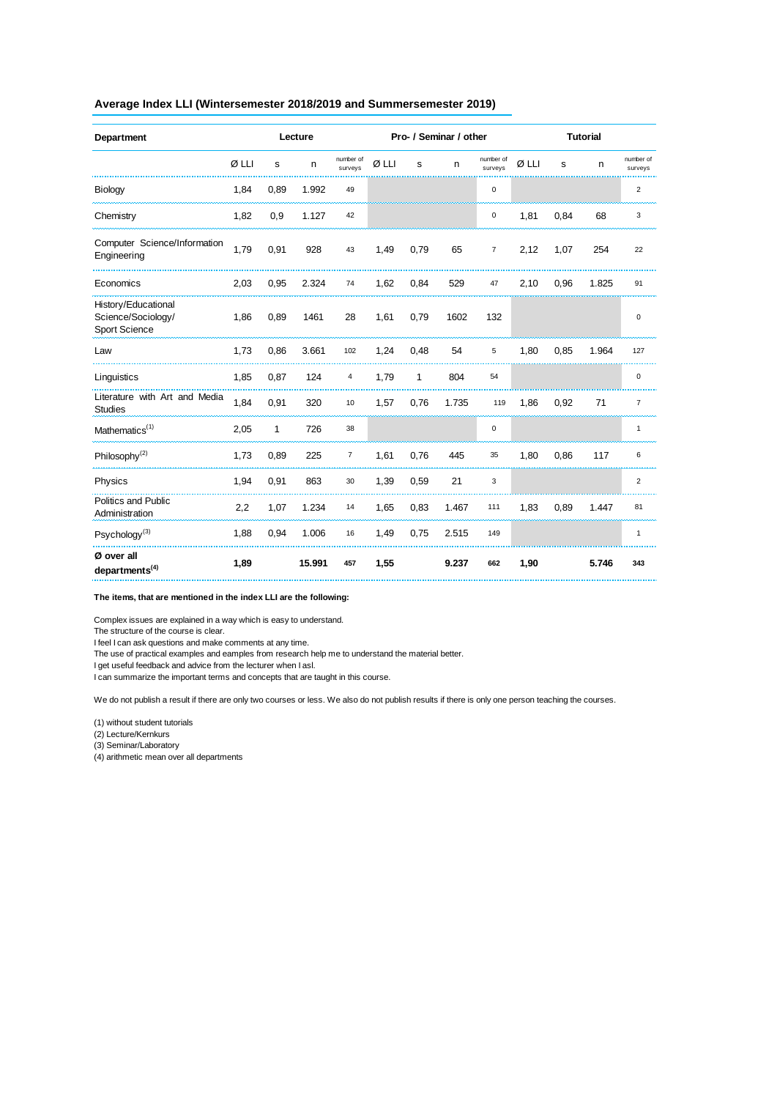#### **Average Index LLI (Wintersemester 2018/2019 and Summersemester 2019)**

| Department                                                 | Lecture |              |        |                      | Pro- / Seminar / other |              |       |                      | <b>Tutorial</b> |      |       |                      |
|------------------------------------------------------------|---------|--------------|--------|----------------------|------------------------|--------------|-------|----------------------|-----------------|------|-------|----------------------|
|                                                            | Ø LLI   | s            | n      | number of<br>surveys | Ø LLI                  | s            | n     | number of<br>surveys | Ø LLI           | s    | n     | number of<br>surveys |
| Biology                                                    | 1,84    | 0,89         | 1.992  | 49                   |                        |              |       | 0                    |                 |      |       | $\overline{2}$       |
| Chemistry                                                  | 1,82    | 0,9          | 1.127  | 42                   |                        |              |       | 0                    | 1,81            | 0,84 | 68    | 3                    |
| Computer Science/Information<br>Engineering                | 1,79    | 0,91         | 928    | 43                   | 1,49                   | 0,79         | 65    | $\overline{7}$       | 2,12            | 1,07 | 254   | 22                   |
| Economics                                                  | 2,03    | 0,95         | 2.324  | 74                   | 1,62                   | 0,84         | 529   | 47                   | 2,10            | 0,96 | 1.825 | 91                   |
| History/Educational<br>Science/Sociology/<br>Sport Science | 1,86    | 0,89         | 1461   | 28                   | 1,61                   | 0,79         | 1602  | 132                  |                 |      |       | $\pmb{0}$            |
| Law                                                        | 1,73    | 0,86         | 3.661  | 102                  | 1,24                   | 0,48         | 54    | 5                    | 1,80            | 0,85 | 1.964 | 127                  |
| Linguistics                                                | 1,85    | 0,87         | 124    | 4                    | 1,79                   | $\mathbf{1}$ | 804   | 54                   |                 |      |       | $\mathsf 0$          |
| Literature with Art and Media<br><b>Studies</b>            | 1,84    | 0,91         | 320    | $10$                 | 1,57                   | 0,76         | 1.735 | 119                  | 1,86            | 0,92 | 71    | $\overline{7}$       |
| Mathematics <sup>(1)</sup>                                 | 2,05    | $\mathbf{1}$ | 726    | 38                   |                        |              |       | 0                    |                 |      |       | $\mathbf{1}$         |
| Philosophy <sup>(2)</sup>                                  | 1,73    | 0,89         | 225    | $\overline{7}$       | 1,61                   | 0,76         | 445   | 35                   | 1,80            | 0,86 | 117   | 6                    |
| Physics                                                    | 1,94    | 0,91         | 863    | 30                   | 1,39                   | 0,59         | 21    | $\mathbf 3$          |                 |      |       | $\overline{2}$       |
| Politics and Public<br>Administration                      | 2,2     | 1,07         | 1.234  | 14                   | 1,65                   | 0,83         | 1.467 | 111                  | 1,83            | 0,89 | 1.447 | 81                   |
| Psychology <sup>(3)</sup>                                  | 1,88    | 0,94         | 1.006  | 16                   | 1,49                   | 0,75         | 2.515 | 149                  |                 |      |       | $\mathbf{1}$         |
| Ø over all<br>departments <sup>(4)</sup>                   | 1,89    |              | 15.991 | 457                  | 1,55                   |              | 9.237 | 662                  | 1,90            |      | 5.746 | 343                  |

#### **The items, that are mentioned in the index LLI are the following:**

Complex issues are explained in a way which is easy to understand.

The structure of the course is clear.

I feel I can ask questions and make comments at any time.

The use of practical examples and eamples from research help me to understand the material better.

I get useful feedback and advice from the lecturer when I asl.

I can summarize the important terms and concepts that are taught in this course.

We do not publish a result if there are only two courses or less. We also do not publish results if there is only one person teaching the courses.

(1) without student tutorials

(2) Lecture/Kernkurs

(3) Seminar/Laboratory

(4) arithmetic mean over all departments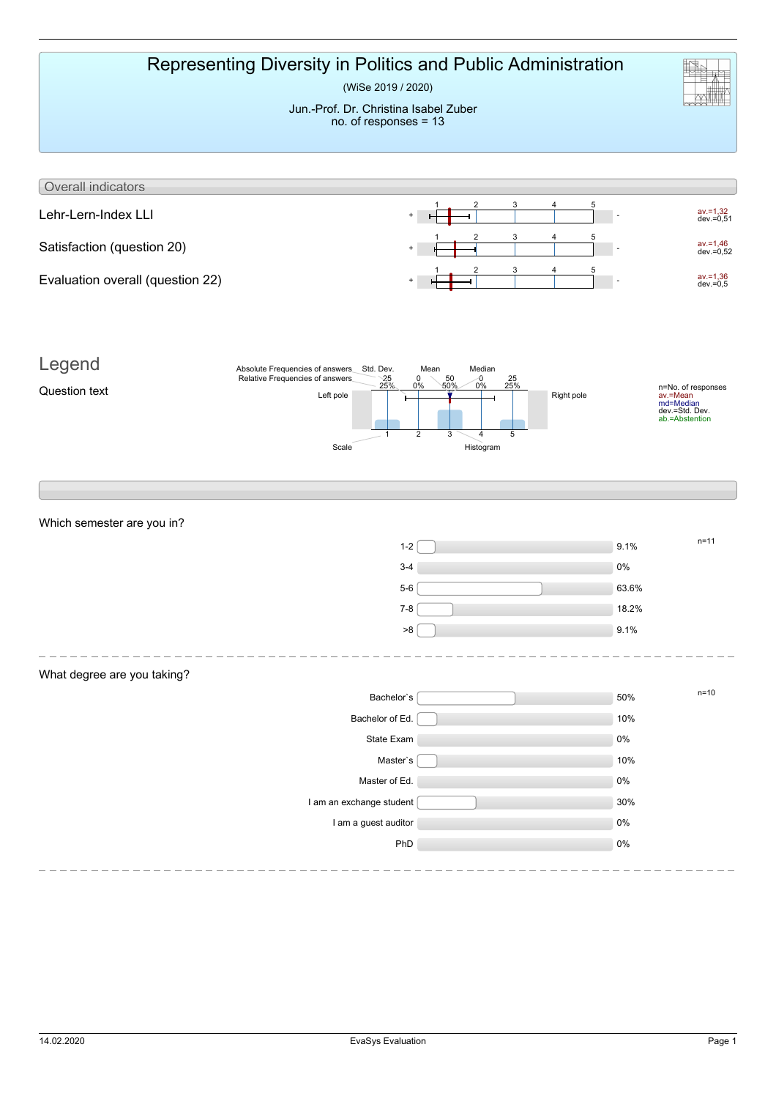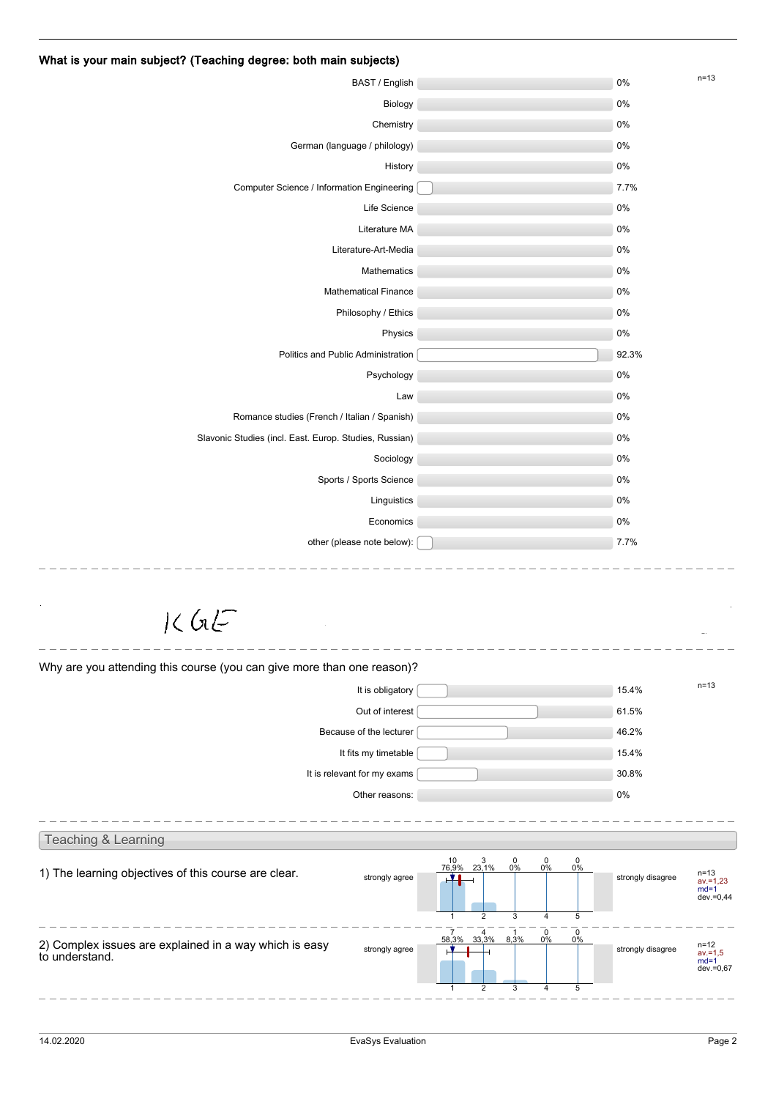|                                                                                            |                                                                                                                               |                   | $n=13$                                        |
|--------------------------------------------------------------------------------------------|-------------------------------------------------------------------------------------------------------------------------------|-------------------|-----------------------------------------------|
| BAST / English                                                                             |                                                                                                                               | $0\%$             |                                               |
| Biology                                                                                    |                                                                                                                               | 0%                |                                               |
| Chemistry                                                                                  |                                                                                                                               | 0%                |                                               |
| German (language / philology)                                                              |                                                                                                                               | $0\%$             |                                               |
| History                                                                                    |                                                                                                                               | $0\%$             |                                               |
| Computer Science / Information Engineering                                                 |                                                                                                                               | 7.7%              |                                               |
| Life Science                                                                               |                                                                                                                               | $0\%$             |                                               |
| Literature MA                                                                              |                                                                                                                               | 0%                |                                               |
| Literature-Art-Media                                                                       |                                                                                                                               | 0%                |                                               |
| Mathematics                                                                                |                                                                                                                               | $0\%$             |                                               |
| <b>Mathematical Finance</b>                                                                |                                                                                                                               | 0%                |                                               |
| Philosophy / Ethics                                                                        |                                                                                                                               | 0%                |                                               |
| Physics                                                                                    |                                                                                                                               | $0\%$             |                                               |
| Politics and Public Administration                                                         |                                                                                                                               | 92.3%             |                                               |
| Psychology                                                                                 |                                                                                                                               | 0%                |                                               |
| Law                                                                                        |                                                                                                                               | $0\%$             |                                               |
| Romance studies (French / Italian / Spanish)                                               |                                                                                                                               | 0%                |                                               |
| Slavonic Studies (incl. East. Europ. Studies, Russian)                                     |                                                                                                                               | 0%                |                                               |
| Sociology                                                                                  |                                                                                                                               | $0\%$             |                                               |
| Sports / Sports Science                                                                    |                                                                                                                               | $0\%$             |                                               |
| Linguistics                                                                                |                                                                                                                               | 0%                |                                               |
| Economics                                                                                  |                                                                                                                               | $0\%$             |                                               |
| other (please note below):                                                                 |                                                                                                                               | 7.7%              |                                               |
| $1<$ GL $F$<br>Why are you attending this course (you can give more than one reason)?      |                                                                                                                               |                   | $n = 13$                                      |
| It is obligatory                                                                           |                                                                                                                               | 15.4%             |                                               |
| Out of interest                                                                            |                                                                                                                               | 61.5%             |                                               |
| Because of the lecturer                                                                    |                                                                                                                               | 46.2%             |                                               |
| It fits my timetable                                                                       |                                                                                                                               | 15.4%             |                                               |
| It is relevant for my exams                                                                |                                                                                                                               | 30.8%             |                                               |
| Other reasons:                                                                             |                                                                                                                               | $0\%$             |                                               |
| Teaching & Learning                                                                        | 0                                                                                                                             |                   |                                               |
| 1) The learning objectives of this course are clear.<br>strongly agree                     | 10 3<br>76,9% 23,1%<br>$\frac{0}{0\%}$<br>$\frac{0}{0\%}$<br>0%<br>$\overline{2}$<br>3<br>5<br>$\mathbf{1}$<br>$\overline{4}$ | strongly disagree | n=13<br>av.=1,23<br>$md=1$<br>dev.=0,44       |
| 2) Complex issues are explained in a way which is easy<br>strongly agree<br>to understand. | 0<br>$\frac{0}{0\%}$<br>7 4<br>58,3% 33,3%<br>$\frac{1}{8,3\%}$<br>0%<br>$\overline{2}$<br>3<br>5<br>1<br>4                   | strongly disagree | $n = 12$<br>$av = 1,5$<br>$md=1$<br>dev.=0,67 |
|                                                                                            |                                                                                                                               |                   |                                               |

#### What is your main subject? (Teaching degree: both main subjects)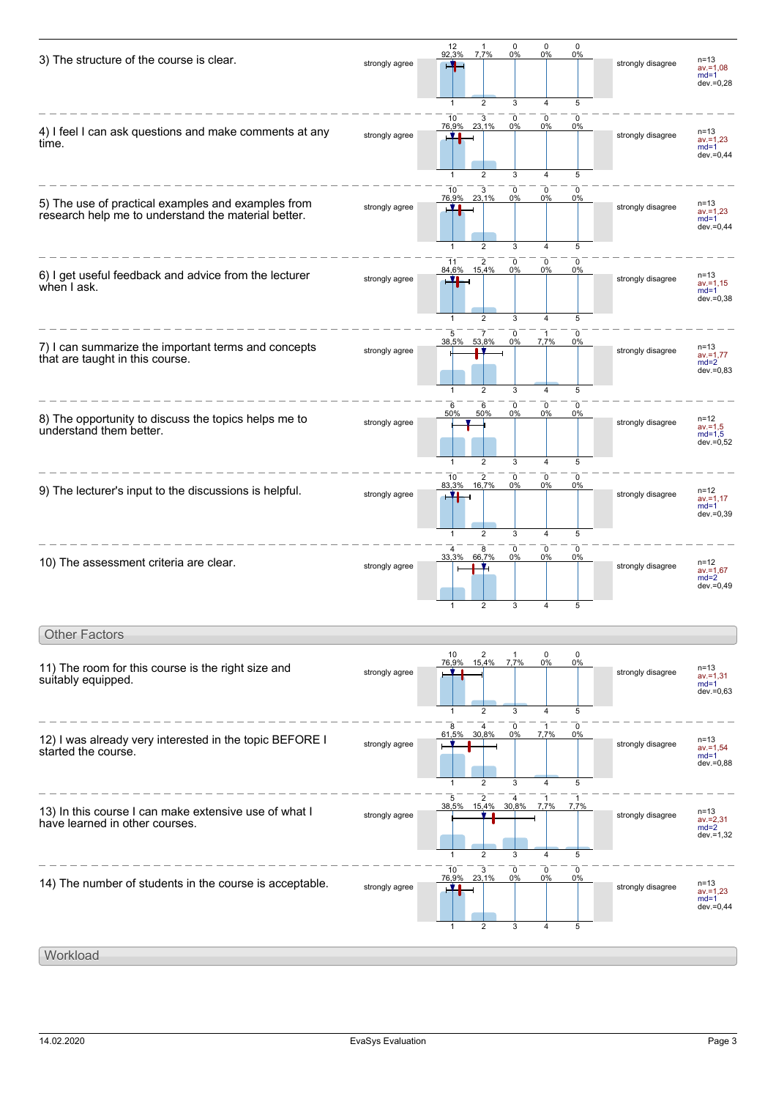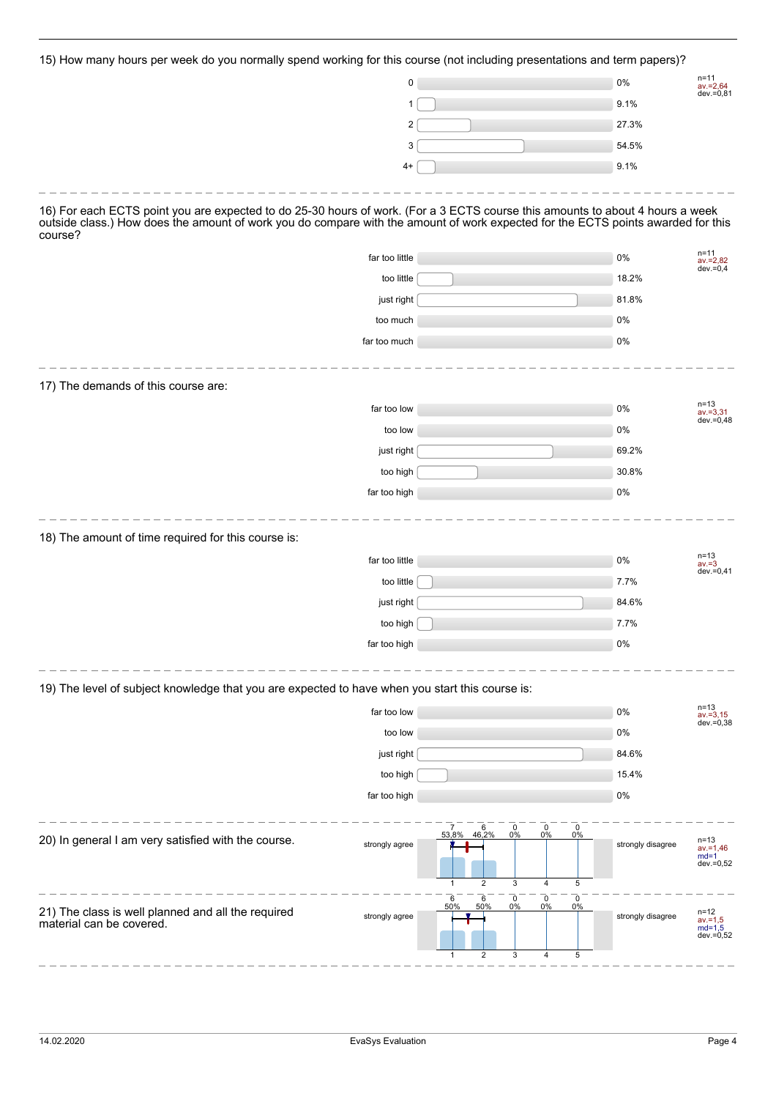15) How many hours per week do you normally spend working for this course (not including presentations and term papers)?

| noard por moon as you nominally                                                                                                             | שייש וסיישוישיים וייט<br>0 |                                                                 |                                                               | $$ pappily<br>0%  | n=11<br>$av = 2,64$<br>dev.=0,81                    |
|---------------------------------------------------------------------------------------------------------------------------------------------|----------------------------|-----------------------------------------------------------------|---------------------------------------------------------------|-------------------|-----------------------------------------------------|
|                                                                                                                                             | 1                          |                                                                 |                                                               | 9.1%              |                                                     |
|                                                                                                                                             | 2                          |                                                                 |                                                               | 27.3%             |                                                     |
|                                                                                                                                             | 3                          |                                                                 |                                                               | 54.5%             |                                                     |
|                                                                                                                                             | $4+$                       |                                                                 |                                                               | 9.1%              |                                                     |
| 16) For each ECTS point you are expected to do 25-30 hours of work. (For a 3 ECTS course this amounts to about 4 hours a week               |                            |                                                                 |                                                               |                   |                                                     |
| outside class.) How does the amount of work you do compare with the amount of work expected for the ECTS points awarded for this<br>course? |                            |                                                                 |                                                               |                   |                                                     |
|                                                                                                                                             | far too little             |                                                                 |                                                               | 0%                | $n = 11$<br>$av = 2,82$                             |
|                                                                                                                                             | too little                 |                                                                 |                                                               | 18.2%             | $dev = 0,4$                                         |
|                                                                                                                                             | just right                 |                                                                 |                                                               | 81.8%             |                                                     |
|                                                                                                                                             | too much                   |                                                                 |                                                               | 0%                |                                                     |
|                                                                                                                                             | far too much               |                                                                 |                                                               | 0%                |                                                     |
| 17) The demands of this course are:                                                                                                         |                            |                                                                 |                                                               |                   |                                                     |
|                                                                                                                                             | far too low                |                                                                 |                                                               | 0%                | $n = 13$<br>$av = 3,31$                             |
|                                                                                                                                             | too low                    |                                                                 |                                                               | 0%                | dev.=0,48                                           |
|                                                                                                                                             | just right                 |                                                                 |                                                               | 69.2%             |                                                     |
|                                                                                                                                             | too high                   |                                                                 |                                                               | 30.8%             |                                                     |
|                                                                                                                                             | far too high               |                                                                 |                                                               | 0%                |                                                     |
| 18) The amount of time required for this course is:                                                                                         |                            |                                                                 |                                                               |                   |                                                     |
|                                                                                                                                             | far too little             |                                                                 |                                                               | 0%                | $n = 13$<br>$av = 3$<br>$dev = 0,41$                |
|                                                                                                                                             | too little                 |                                                                 |                                                               | 7.7%              |                                                     |
|                                                                                                                                             | just right                 |                                                                 |                                                               | 84.6%             |                                                     |
|                                                                                                                                             | too high                   |                                                                 |                                                               | 7.7%              |                                                     |
|                                                                                                                                             | far too high               |                                                                 |                                                               | 0%                |                                                     |
| 19) The level of subject knowledge that you are expected to have when you start this course is:                                             |                            |                                                                 |                                                               |                   |                                                     |
|                                                                                                                                             | far too low                |                                                                 |                                                               | 0%                | $n=13$<br>$av = 3,15$<br>dev.=0,38                  |
|                                                                                                                                             | too low                    |                                                                 |                                                               | 0%                |                                                     |
|                                                                                                                                             | just right                 |                                                                 |                                                               | 84.6%             |                                                     |
|                                                                                                                                             | too high                   |                                                                 |                                                               | 15.4%             |                                                     |
|                                                                                                                                             | far too high               |                                                                 |                                                               | 0%                |                                                     |
| 20) In general I am very satisfied with the course.                                                                                         | strongly agree             | $\overline{7}$<br>$6\n46,2%$<br>0<br>53,8%<br>0%<br>2<br>3<br>1 | $\mathbf 0$<br>$\mathbf 0$<br>0%<br>0%<br>$\overline{4}$<br>5 | strongly disagree | n=13<br>$av = 1,46$<br>$md=1$<br>dev.=0,52          |
| 21) The class is well planned and all the required<br>material can be covered.                                                              | strongly agree             | 6<br>0<br>6<br>50%<br>50%<br>0%<br>2<br>3<br>1                  | $\pmb{0}$<br>0<br>0%<br>0%<br>5<br>$\overline{4}$             | strongly disagree | $n = 12$<br>$av = 1, 5$<br>$md=1,5$<br>$dev = 0,52$ |
|                                                                                                                                             |                            |                                                                 |                                                               |                   |                                                     |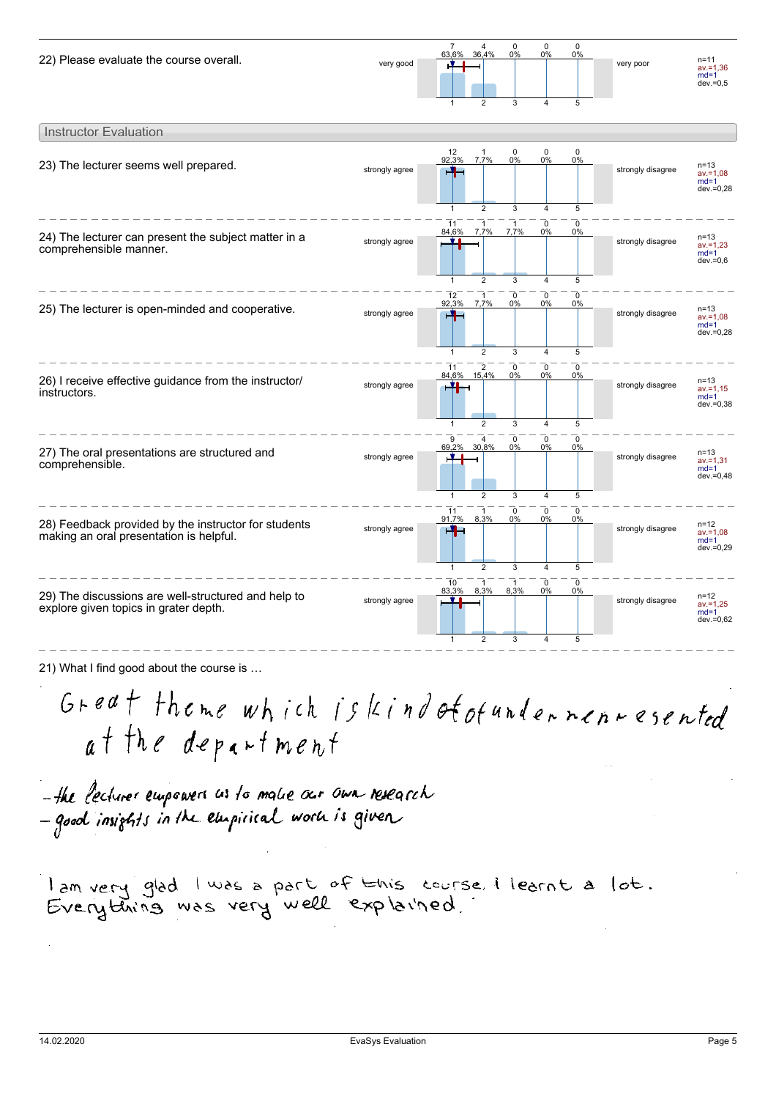

| <b>Instructor Evaluation</b>                                                                    |                |                                                                                                                                                                                                 |                   |                                                   |
|-------------------------------------------------------------------------------------------------|----------------|-------------------------------------------------------------------------------------------------------------------------------------------------------------------------------------------------|-------------------|---------------------------------------------------|
| 23) The lecturer seems well prepared.                                                           | strongly agree | $12$<br>92,3%<br>0<br>$\mathbf 0$<br>0<br>-1<br>7.7%<br>0%<br>0%<br>0%<br>HH<br>2<br>3<br>5<br>$\mathbf{1}$<br>4                                                                                | strongly disagree | $n = 13$<br>$av = 1.08$<br>$md=1$<br>dev.=0,28    |
| 24) The lecturer can present the subject matter in a<br>comprehensible manner.                  | strongly agree | $\mathbf 0$<br>0<br>11<br>$\overline{1}$<br>7,7%<br>7,7%<br>84,6%<br>0%<br>0%<br>$\overline{2}$                                                                                                 | strongly disagree | $n = 13$<br>$av = 1.23$<br>$md=1$<br>$dev = 0,6$  |
| 25) The lecturer is open-minded and cooperative.                                                | strongly agree | 3<br>5<br>$\mathbf{1}$<br>$\overline{4}$<br>$\mathbf 0$<br>$\overline{1}$<br>0<br>0<br>12<br>92.3%<br>7,7%<br>0%<br>0%<br>0%<br>┪<br>$\overline{2}$<br>3<br>5<br>$\overline{4}$<br>$\mathbf{1}$ | strongly disagree | $n = 13$<br>$av = 1.08$<br>$md=1$<br>dev.=0,28    |
| 26) I receive effective guidance from the instructor/<br>instructors.                           | strongly agree | $\overline{2}$<br>11<br>0<br>$\mathbf 0$<br>0<br>84.6% 15.4%<br>0%<br>0%<br>0%<br>ч<br>$\overline{2}$<br>3<br>5<br>$\mathbf{1}$<br>4                                                            | strongly disagree | n=13<br>$av = 1,15$<br>$md=1$<br>$dev = 0.38$     |
| 27) The oral presentations are structured and<br>comprehensible.                                | strongly agree | $\mathbf 0$<br>$\mathbf 0$<br>$\mathbf 0$<br>9<br>4<br>69,2%<br>30,8%<br>0%<br>0%<br>0%<br>2<br>3<br>5<br>$\mathbf{1}$<br>$\overline{4}$                                                        | strongly disagree | $n = 13$<br>$av = 1.31$<br>$md=1$<br>$dev = 0,48$ |
| 28) Feedback provided by the instructor for students<br>making an oral presentation is helpful. | strongly agree | $\mathbf 0$<br>$\mathbf 0$<br>$\mathbf 0$<br>$\overline{1}$<br>11<br>91,7%<br>8,3%<br>0%<br>0%<br>0%<br>H.<br>$\overline{2}$<br>3<br>5<br>$\mathbf{1}$<br>$\overline{4}$                        | strongly disagree | $n = 12$<br>$av = 1.08$<br>$md=1$<br>dev.=0,29    |
| 29) The discussions are well-structured and help to<br>explore given topics in grater depth.    | strongly agree | $\Omega$<br>10<br>$\mathbf 0$<br>8.3%<br>83.3%<br>8.3%<br>0%<br>0%<br>$\overline{2}$<br>3<br>4<br>5<br>1                                                                                        | strongly disagree | $n = 12$<br>$av = 1,25$<br>$md=1$<br>dev.=0,62    |

21) What I find good about the course is …

Great theme which is kind of of undernennesented at the department

-the lectures empowers as to make our own research<br>- good insights in the empirical work is given

lan very glad I was a part of this course. I learnt a lot.<br>Everything was very well explained.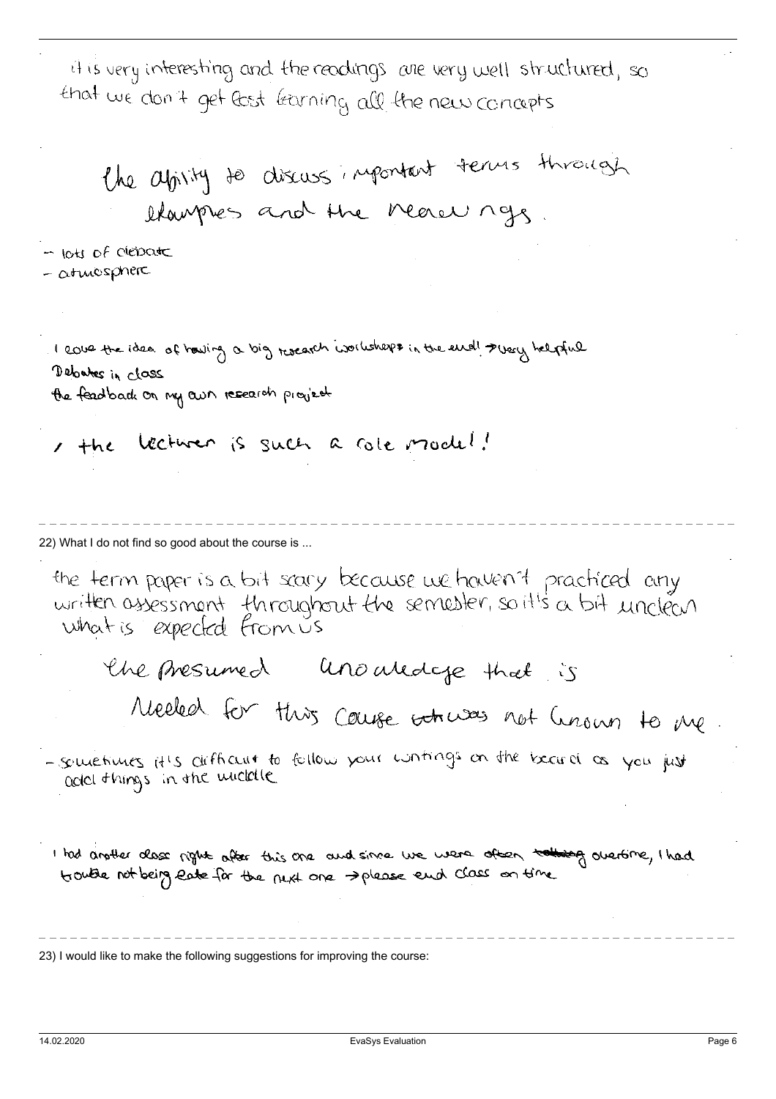it is very interesting and the readings are very well structured, so that we don't get lost learning all the new concepts

the abouty to discuss important terms through stamples and the nearly ngs

- lots of debate  $-$  atmosphere

I cover the idea of howing a big research worksheps in the end! I very helpful Debates in class the feadback on my own research provisely

, the lecturer is such a cole model!

22) What I do not find so good about the course is ...

the ferm paper is a bit seary because we haven't practiced any written assessment fhroughout the semester, so it's a bit unclean what is expected from us

the presumed unouldcye that is

Meeled for this cause whwas not hnown to me

- sometimes it's difficult to follow your wintings on the becard as you just add things in the widdle

I had another class right after this one and since we were other to the governine, I had trouble not being eate for the next one please end class on time

23) I would like to make the following suggestions for improving the course: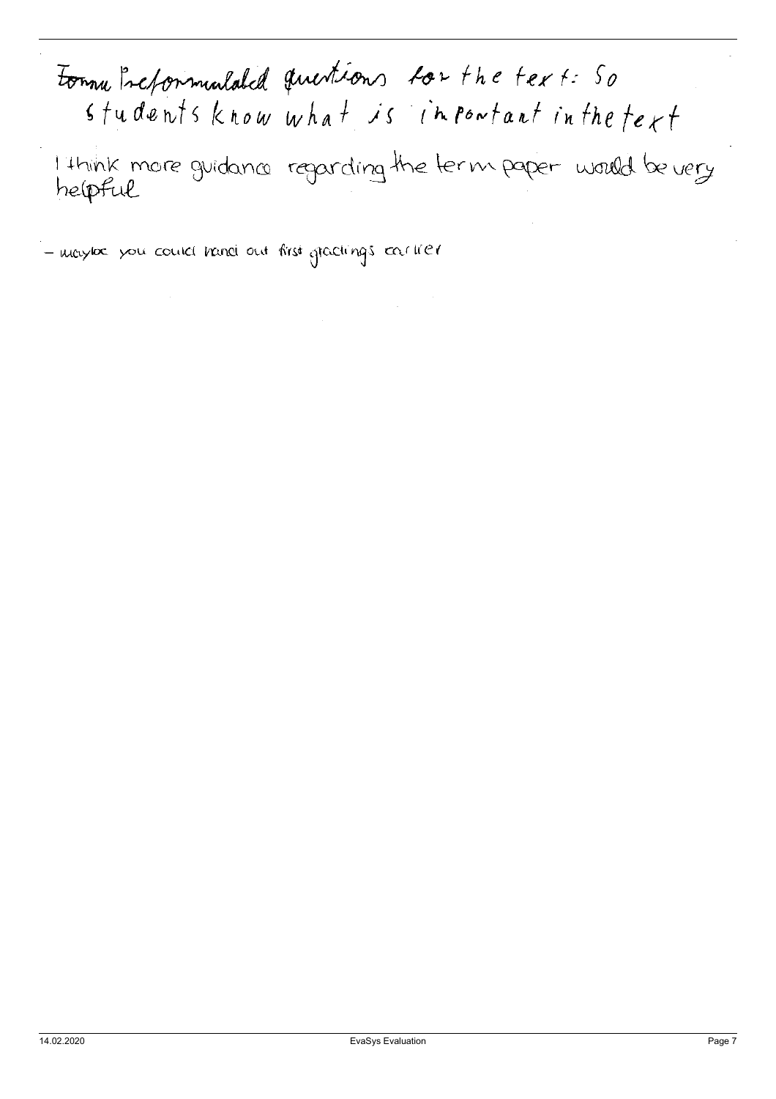# Formu Preformulated questions for the text: So  $s$  tudents know what is infortant in the text

I think more guidance regarding the term paper would be very

- maybe you could hand out first gradings eachier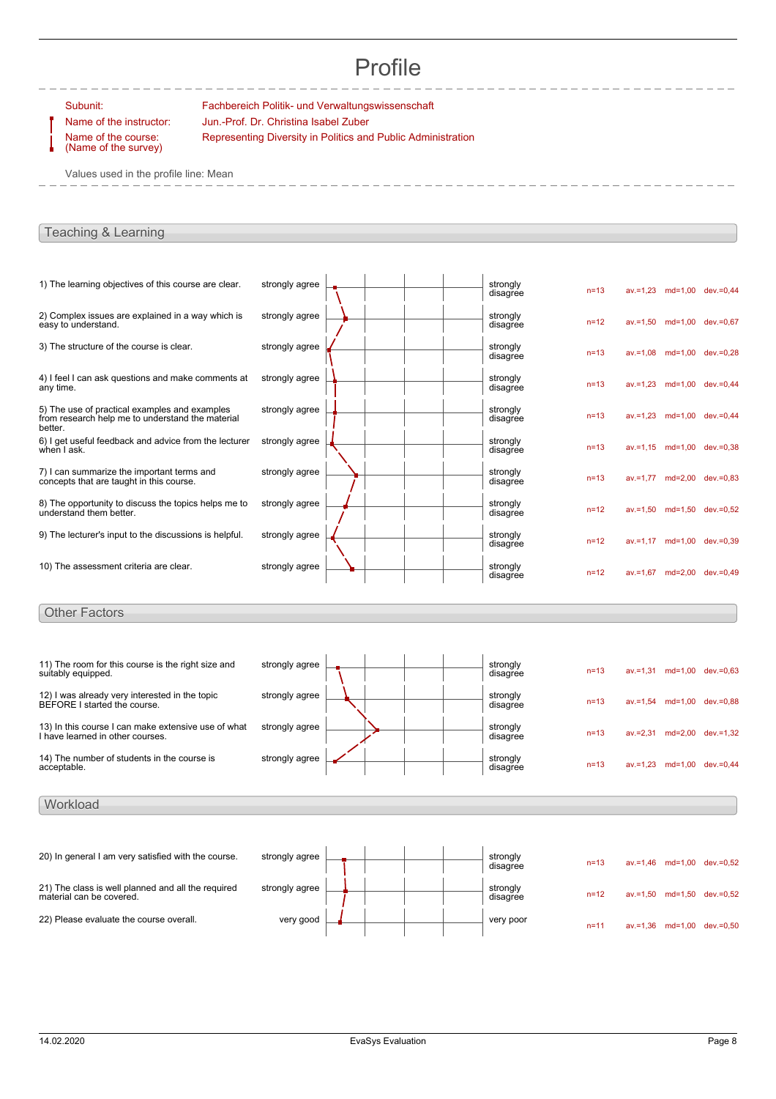## Profile

Subunit: Fachbereich Politik- und Verwaltungswissenschaft Name of the instructor: Jun.-Prof. Dr. Christina Isabel Zuber Representing Diversity in Politics and Public Administration

Name of the course: (Name of the survey)

Values used in the profile line: Mean

#### Teaching & Learning

| 1) The learning objectives of this course are clear.                                                         | strongly agree | strongly<br>disagree | $n=13$   | av.=1,23 md=1,00 dev.=0,44 |  |
|--------------------------------------------------------------------------------------------------------------|----------------|----------------------|----------|----------------------------|--|
| 2) Complex issues are explained in a way which is<br>easy to understand.                                     | strongly agree | strongly<br>disagree | $n = 12$ | av.=1.50 md=1.00 dev.=0.67 |  |
| 3) The structure of the course is clear.                                                                     | strongly agree | strongly<br>disagree | $n = 13$ | av.=1,08 md=1,00 dev.=0,28 |  |
| 4) I feel I can ask questions and make comments at<br>any time.                                              | strongly agree | strongly<br>disagree | $n = 13$ | av.=1,23 md=1,00 dev.=0,44 |  |
| 5) The use of practical examples and examples<br>from research help me to understand the material<br>better. | strongly agree | strongly<br>disagree | $n = 13$ | av.=1,23 md=1,00 dev.=0,44 |  |
| 6) I get useful feedback and advice from the lecturer<br>when I ask.                                         | strongly agree | strongly<br>disagree | $n = 13$ | av.=1,15 md=1,00 dev.=0,38 |  |
| 7) I can summarize the important terms and<br>concepts that are taught in this course.                       | strongly agree | strongly<br>disagree | $n = 13$ | av.=1,77 md=2,00 dev.=0,83 |  |
| 8) The opportunity to discuss the topics helps me to<br>understand them better.                              | strongly agree | strongly<br>disagree | $n = 12$ | av.=1,50 md=1,50 dev.=0,52 |  |
| 9) The lecturer's input to the discussions is helpful.                                                       | strongly agree | strongly<br>disagree | $n = 12$ | av.=1,17 md=1,00 dev.=0,39 |  |
| 10) The assessment criteria are clear.                                                                       | strongly agree | strongly<br>disagree | $n = 12$ | av.=1,67 md=2,00 dev.=0,49 |  |
| <b>Other Factors</b>                                                                                         |                |                      |          |                            |  |
| 11) The room for this course is the right size and<br>suitably equipped.                                     | strongly agree | strongly<br>disagree | $n = 13$ | av.=1,31 md=1,00 dev.=0,63 |  |

| suitably equipped.                                                                      |                |  |  | ----- <i>a</i> - <i>,</i><br>disagree | $n = 13$ | $av = 1.31$ | $md=1.00$ | dev.=0.63    |
|-----------------------------------------------------------------------------------------|----------------|--|--|---------------------------------------|----------|-------------|-----------|--------------|
| 12) I was already very interested in the topic<br>BEFORE I started the course.          | strongly agree |  |  | strongly<br>disagree                  | $n = 13$ | $av = 1.54$ | md=1.00   | $dev = 0.88$ |
| 13) In this course I can make extensive use of what<br>I have learned in other courses. | strongly agree |  |  | strongly<br>disagree                  | $n = 13$ | $av = 2.31$ | md=2.00   | $dev = 1.32$ |
| 14) The number of students in the course is<br>acceptable.                              | strongly agree |  |  | strongly<br>disagree                  | $n = 13$ | $av = 1.23$ | $md=1.00$ | $dev = 0.44$ |

#### 20) In general I am very satisfied with the course. strongly agree  $\begin{array}{|c|c|c|c|c|c|}\n\hline\n\text{strongly} & & & \text{strongly} \text{display} \end{array}$ n=13 av.=1,46 md=1,00 dev.=0,52 21) The class is well planned and all the required material can be covered. strongly agree  $\begin{array}{|c|c|c|c|}\n\hline\n\multicolumn{3}{|c|}{3} & \multicolumn{3}{|c|}{3} & \multicolumn{3}{|c|}{3} & \multicolumn{3}{|c|}{3} & \multicolumn{3}{|c|}{3} & \multicolumn{3}{|c|}{3} & \multicolumn{3}{|c|}{3} & \multicolumn{3}{|c|}{3} & \multicolumn{3}{|c|}{3} & \multicolumn{3}{|c|}{3} & \multicolumn{3}{|c|}{3} & \multicolumn{3}{|c|}{3} & \multicolumn{3}{|c|}{3} & \multic$ n=12 av.=1,50 md=1,50 dev.=0,52 22) Please evaluate the course overall.  $\begin{array}{c|c} \hline \multicolumn{3}{c}{} \multicolumn{3}{c}{} \multicolumn{3}{c}{} \multicolumn{3}{c}{} \multicolumn{3}{c}{} \multicolumn{3}{c}{} \multicolumn{3}{c}{} \multicolumn{3}{c}{} \multicolumn{3}{c}{} \multicolumn{3}{c}{} \multicolumn{3}{c}{} \multicolumn{3}{c}{} \multicolumn{3}{c}{} \multicolumn{3}{c}{} \multicolumn{3}{c}{} \multicolumn{3}{c}{} \multicolumn{3}{c$ n=11 av.=1,36 md=1,00 dev.=0,50

**Workload**